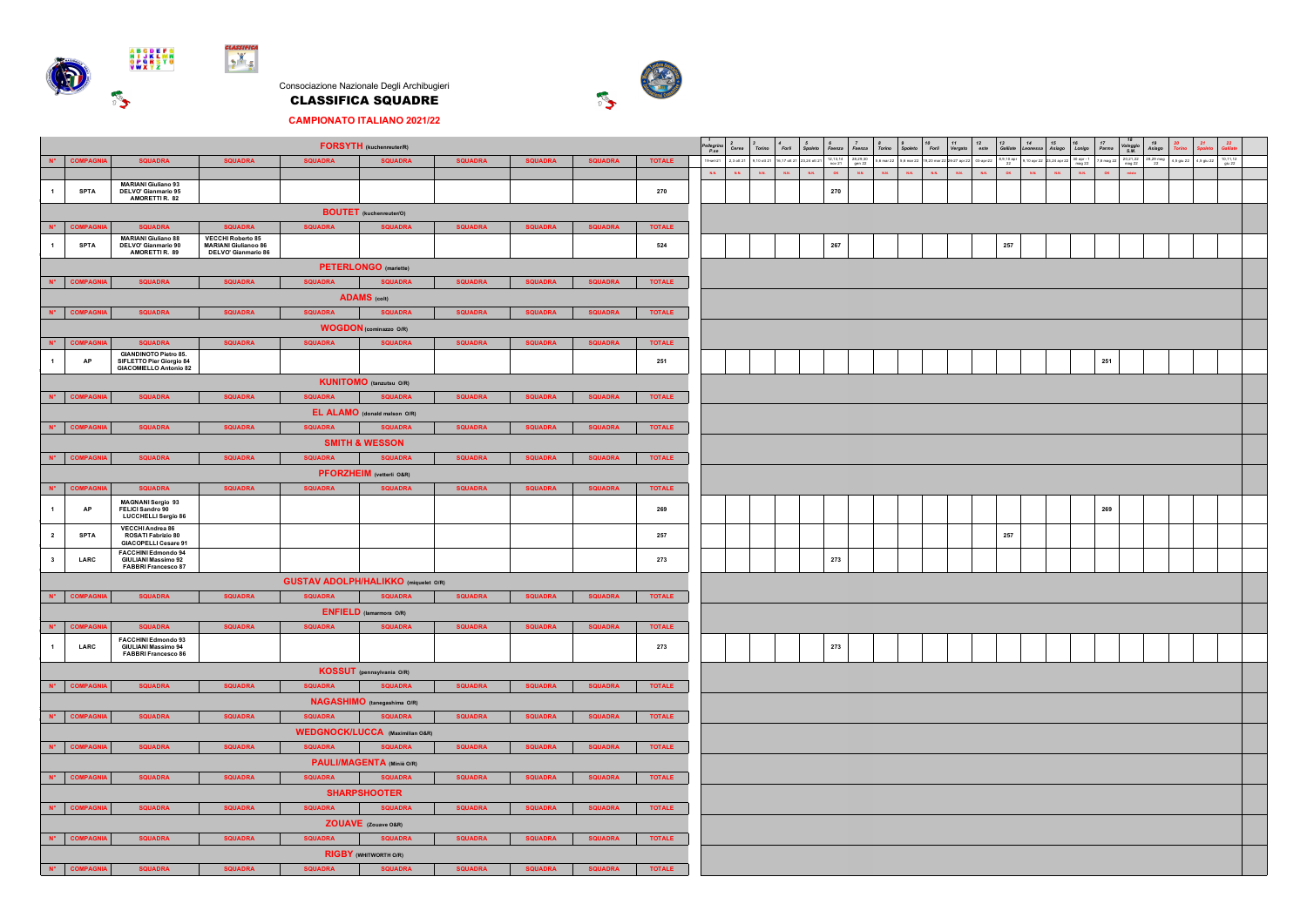

Consociazione Nazionale Degli Archibugieri CLASSIFICA SQUADRE



**CAMPIONATO ITALIANO 2021/22**

|                                                                                                                                                            |                                                                                                                                                                                                |                                                                                        |                                                                  |                | <b>FORSYTH</b> (kuchenreuter/R)             |                |                |                |               | $\begin{array}{c} 1 \\ \textcolor{red}{\textit{Pellegrino}} \\ \textcolor{red}{\textit{P}.\textit{se}} \end{array}$ | Cerea         | $3 \nTorno$<br>$\epsilon_{\rm Forfi}$                      | 5<br>Spoleta | Faenza<br>Faenza                             | $\frac{8}{T}$ orino           | Spoleto                                                   | $\begin{array}{c} \vspace{2mm} 10 \\ \text{For} \mathit{li} \end{array}$ | 11<br>Vergato                 | $12 \atop \text{este}$ | 13<br>Galliate                                          | 14<br>Leoness <sub>i</sub> | $\begin{array}{c} 15 \\ \textit{Asiago} \end{array}$<br>16 | $17\,$<br>Parma<br>Lonigo | Valeggio<br>S.M.                 | 19<br>Asiago           |                       | 22                   |  |
|------------------------------------------------------------------------------------------------------------------------------------------------------------|------------------------------------------------------------------------------------------------------------------------------------------------------------------------------------------------|----------------------------------------------------------------------------------------|------------------------------------------------------------------|----------------|---------------------------------------------|----------------|----------------|----------------|---------------|---------------------------------------------------------------------------------------------------------------------|---------------|------------------------------------------------------------|--------------|----------------------------------------------|-------------------------------|-----------------------------------------------------------|--------------------------------------------------------------------------|-------------------------------|------------------------|---------------------------------------------------------|----------------------------|------------------------------------------------------------|---------------------------|----------------------------------|------------------------|-----------------------|----------------------|--|
| $N^*$                                                                                                                                                      | <b>COMPAGNI</b>                                                                                                                                                                                | <b>SQUADRA</b>                                                                         | <b>SQUADRA</b>                                                   | <b>SQUADRA</b> | <b>SQUADRA</b>                              | <b>SQUADRA</b> | <b>SQUADRA</b> | <b>SQUADRA</b> | <b>TOTALE</b> |                                                                                                                     |               | 19-set-21 2,3 off 21 9,10 off 21 16,17 off 21 23,24 off 21 |              | $12, 13, 14$<br>nov 21<br>28,29,30<br>gen 22 |                               | 5,6 mar 22 5,6 mar 22 19,20 mar 22 26-27 apr 22 03-apr-22 |                                                                          |                               |                        | $\begin{array}{c} 8,9,10 \text{ apr} \\ 22 \end{array}$ | 9,10 apr 22 23,24 apr 22   |                                                            | 30 apr - 1<br>mag 22      | 20,21,22<br>mag 22<br>7,8 mag 22 | $\frac{28,29}{22}$ mag | 4,5 giu 22 4,5 giu 22 | $\frac{10,11,12}{9}$ |  |
|                                                                                                                                                            |                                                                                                                                                                                                | <b>MARIANI Giuliano 93</b>                                                             |                                                                  |                |                                             |                |                |                |               | $\mathbf{R}\mathbf{R}^{\top}$                                                                                       | $\mathbf{xx}$ | $R_{\rm X}$<br>$\mathbf{R}\mathbf{R}$                      | $_{\rm KK}$  | $\alpha$<br>$\mathbf{R}\mathbf{R}$           | $\mathbf{R}\mathbf{R}^{\top}$ | $\mathbf{R}\mathbf{R}$                                    | $_{RR}$                                                                  | $\mathbf{R}\mathbf{R}^{\top}$ | $_{\rm{RA}}$           | $\alpha$                                                | $_{\rm KK}$                | $\mathbf{K}\mathbf{K}^{\top}$                              | $_{\rm{NN}}$              | $\alpha$                         |                        |                       |                      |  |
| $\overline{1}$                                                                                                                                             | <b>SPTA</b>                                                                                                                                                                                    | DELVO' Gianmario 95<br>AMORETTI R. 82                                                  |                                                                  |                |                                             |                |                |                | 270           |                                                                                                                     |               |                                                            |              | 270                                          |                               |                                                           |                                                                          |                               |                        |                                                         |                            |                                                            |                           |                                  |                        |                       |                      |  |
|                                                                                                                                                            |                                                                                                                                                                                                |                                                                                        |                                                                  |                | <b>BOUTET</b> (kuchenreuter/O)              |                |                |                |               |                                                                                                                     |               |                                                            |              |                                              |                               |                                                           |                                                                          |                               |                        |                                                         |                            |                                                            |                           |                                  |                        |                       |                      |  |
| $N^*$                                                                                                                                                      | <b>COMPAGN</b>                                                                                                                                                                                 | <b>SQUADRA</b>                                                                         | <b>SQUADRA</b>                                                   | <b>SQUADRA</b> | <b>SQUADRA</b>                              | <b>SQUADRA</b> | <b>SQUADRA</b> | <b>SQUADRA</b> | <b>TOTALE</b> |                                                                                                                     |               |                                                            |              |                                              |                               |                                                           |                                                                          |                               |                        |                                                         |                            |                                                            |                           |                                  |                        |                       |                      |  |
|                                                                                                                                                            | <b>SPTA</b>                                                                                                                                                                                    | MARIANI Giuliano 88<br>DELVO' Gianmario 90<br>AMORETTI R. 89                           | VECCHI Roberto 85<br>MARIANI Giulianoo 86<br>DELVO' Gianmario 86 |                |                                             |                |                |                | 524           |                                                                                                                     |               |                                                            |              | 267                                          |                               |                                                           |                                                                          |                               |                        | 257                                                     |                            |                                                            |                           |                                  |                        |                       |                      |  |
|                                                                                                                                                            | <b>PETERLONGO</b> (mariette)                                                                                                                                                                   |                                                                                        |                                                                  |                |                                             |                |                |                |               |                                                                                                                     |               |                                                            |              |                                              |                               |                                                           |                                                                          |                               |                        |                                                         |                            |                                                            |                           |                                  |                        |                       |                      |  |
| $N^*$                                                                                                                                                      | <b>SQUADRA</b><br><b>COMPAGN</b><br><b>SQUADRA</b><br><b>SQUADRA</b><br><b>SQUADRA</b><br><b>SQUADRA</b><br><b>SQUADRA</b><br><b>SQUADRA</b><br><b>TOTALE</b>                                  |                                                                                        |                                                                  |                |                                             |                |                |                |               |                                                                                                                     |               |                                                            |              |                                              |                               |                                                           |                                                                          |                               |                        |                                                         |                            |                                                            |                           |                                  |                        |                       |                      |  |
|                                                                                                                                                            | <b>ADAMS</b> (colt)                                                                                                                                                                            |                                                                                        |                                                                  |                |                                             |                |                |                |               |                                                                                                                     |               |                                                            |              |                                              |                               |                                                           |                                                                          |                               |                        |                                                         |                            |                                                            |                           |                                  |                        |                       |                      |  |
| Nº COMPAGNI<br><b>SQUADRA</b><br><b>SQUADRA</b><br><b>SQUADRA</b><br><b>SQUADRA</b><br><b>SQUADRA</b><br><b>SQUADRA</b><br><b>SQUADRA</b><br><b>TOTALE</b> |                                                                                                                                                                                                |                                                                                        |                                                                  |                |                                             |                |                |                |               |                                                                                                                     |               |                                                            |              |                                              |                               |                                                           |                                                                          |                               |                        |                                                         |                            |                                                            |                           |                                  |                        |                       |                      |  |
|                                                                                                                                                            |                                                                                                                                                                                                |                                                                                        |                                                                  |                | <b>WOGDON</b> (cominazzo O/R)               |                |                |                |               |                                                                                                                     |               |                                                            |              |                                              |                               |                                                           |                                                                          |                               |                        |                                                         |                            |                                                            |                           |                                  |                        |                       |                      |  |
| $\mathbf{N}^{\bullet}$ .                                                                                                                                   | <b>COMPAGN</b>                                                                                                                                                                                 | SOUADRA<br><b>GIANDINOTO Pietro 85.</b>                                                | <b>SQUADRA</b>                                                   | <b>SQUADRA</b> | <b>SQUADRA</b>                              | <b>SQUADRA</b> | <b>SQUADRA</b> | <b>SQUADRA</b> | <b>TOTALE</b> |                                                                                                                     |               |                                                            |              |                                              |                               |                                                           |                                                                          |                               |                        |                                                         |                            |                                                            |                           |                                  |                        |                       |                      |  |
|                                                                                                                                                            | $\sf AP$                                                                                                                                                                                       | SIFLETTO Pier Giorgio 84<br><b>GIACOMIELLO Antonio 82</b>                              |                                                                  |                |                                             |                |                |                | 251           |                                                                                                                     |               |                                                            |              |                                              |                               |                                                           |                                                                          |                               |                        |                                                         |                            |                                                            |                           | 251                              |                        |                       |                      |  |
|                                                                                                                                                            |                                                                                                                                                                                                |                                                                                        |                                                                  |                | <b>KUNITOMO</b> (tanzutsu O/R)              |                |                |                |               |                                                                                                                     |               |                                                            |              |                                              |                               |                                                           |                                                                          |                               |                        |                                                         |                            |                                                            |                           |                                  |                        |                       |                      |  |
|                                                                                                                                                            | Nº COMPAGNI                                                                                                                                                                                    | <b>SQUADRA</b>                                                                         | <b>SQUADRA</b>                                                   | <b>SQUADRA</b> | <b>SQUADRA</b>                              | <b>SQUADRA</b> | <b>SQUADRA</b> | <b>SQUADRA</b> | <b>TOTALE</b> |                                                                                                                     |               |                                                            |              |                                              |                               |                                                           |                                                                          |                               |                        |                                                         |                            |                                                            |                           |                                  |                        |                       |                      |  |
|                                                                                                                                                            |                                                                                                                                                                                                |                                                                                        |                                                                  |                | EL ALAMO (donald malson O/R)                |                |                |                |               |                                                                                                                     |               |                                                            |              |                                              |                               |                                                           |                                                                          |                               |                        |                                                         |                            |                                                            |                           |                                  |                        |                       |                      |  |
|                                                                                                                                                            | N° COMPAGNI                                                                                                                                                                                    | <b>SOUADRA</b>                                                                         | <b>SQUADRA</b>                                                   | <b>SQUADRA</b> | <b>SQUADRA</b>                              | <b>SOUADRA</b> | <b>SQUADRA</b> | <b>SQUADRA</b> | <b>TOTALE</b> |                                                                                                                     |               |                                                            |              |                                              |                               |                                                           |                                                                          |                               |                        |                                                         |                            |                                                            |                           |                                  |                        |                       |                      |  |
|                                                                                                                                                            |                                                                                                                                                                                                |                                                                                        |                                                                  |                | <b>SMITH &amp; WESSON</b>                   |                |                |                |               |                                                                                                                     |               |                                                            |              |                                              |                               |                                                           |                                                                          |                               |                        |                                                         |                            |                                                            |                           |                                  |                        |                       |                      |  |
|                                                                                                                                                            | <b>SQUADRA</b><br><b>SQUADRA</b><br><b>SQUADRA</b><br><b>SQUADRA</b><br>N° COMPAGNIA<br><b>SQUADRA</b><br><b>SQUADRA</b><br><b>TOTALE</b><br><b>SQUADRA</b><br><b>PFORZHEIM</b> (vetterli O&R) |                                                                                        |                                                                  |                |                                             |                |                |                |               |                                                                                                                     |               |                                                            |              |                                              |                               |                                                           |                                                                          |                               |                        |                                                         |                            |                                                            |                           |                                  |                        |                       |                      |  |
| $N^*$                                                                                                                                                      | <b>COMPAGNI</b>                                                                                                                                                                                | <b>SQUADRA</b>                                                                         | <b>SQUADRA</b>                                                   | <b>SQUADRA</b> | <b>SQUADRA</b>                              | <b>SQUADRA</b> | <b>SQUADRA</b> | <b>SQUADRA</b> | <b>TOTALE</b> |                                                                                                                     |               |                                                            |              |                                              |                               |                                                           |                                                                          |                               |                        |                                                         |                            |                                                            |                           |                                  |                        |                       |                      |  |
|                                                                                                                                                            |                                                                                                                                                                                                | <b>MAGNANI Sergio 93</b><br>FELICI Sandro 90                                           |                                                                  |                |                                             |                |                |                |               |                                                                                                                     |               |                                                            |              |                                              |                               |                                                           |                                                                          |                               |                        |                                                         |                            |                                                            |                           |                                  |                        |                       |                      |  |
|                                                                                                                                                            | AP                                                                                                                                                                                             | LUCCHELLI Sergio 86<br>VECCHI Andrea 86                                                |                                                                  |                |                                             |                |                |                | 269           |                                                                                                                     |               |                                                            |              |                                              |                               |                                                           |                                                                          |                               |                        |                                                         |                            |                                                            |                           | 269                              |                        |                       |                      |  |
| $\overline{2}$                                                                                                                                             | <b>SPTA</b>                                                                                                                                                                                    | ROSATI Fabrizio 80<br>GIACOPELLI Cesare 91                                             |                                                                  |                |                                             |                |                |                | 257           |                                                                                                                     |               |                                                            |              |                                              |                               |                                                           |                                                                          |                               |                        | 257                                                     |                            |                                                            |                           |                                  |                        |                       |                      |  |
| $\overline{\mathbf{3}}$                                                                                                                                    | LARC                                                                                                                                                                                           | <b>FACCHINI Edmondo 94</b><br><b>GIULIANI Massimo 92</b><br><b>FABBRI Francesco 87</b> |                                                                  |                |                                             |                |                |                | 273           |                                                                                                                     |               |                                                            |              | 273                                          |                               |                                                           |                                                                          |                               |                        |                                                         |                            |                                                            |                           |                                  |                        |                       |                      |  |
|                                                                                                                                                            |                                                                                                                                                                                                |                                                                                        |                                                                  |                | <b>GUSTAV ADOLPH/HALIKKO</b> (miquelet O/R) |                |                |                |               |                                                                                                                     |               |                                                            |              |                                              |                               |                                                           |                                                                          |                               |                        |                                                         |                            |                                                            |                           |                                  |                        |                       |                      |  |
|                                                                                                                                                            | N° COMPAGNI                                                                                                                                                                                    | <b>SQUADRA</b>                                                                         | <b>SQUADRA</b>                                                   | <b>SQUADRA</b> | <b>SQUADRA</b>                              | <b>SQUADRA</b> | <b>SQUADRA</b> | <b>SQUADRA</b> | <b>TOTALE</b> |                                                                                                                     |               |                                                            |              |                                              |                               |                                                           |                                                                          |                               |                        |                                                         |                            |                                                            |                           |                                  |                        |                       |                      |  |
|                                                                                                                                                            |                                                                                                                                                                                                |                                                                                        |                                                                  |                | <b>ENFIELD</b> (lamarmora O/R)              |                |                |                |               |                                                                                                                     |               |                                                            |              |                                              |                               |                                                           |                                                                          |                               |                        |                                                         |                            |                                                            |                           |                                  |                        |                       |                      |  |
| $N^*$                                                                                                                                                      | <b>COMPAGN</b>                                                                                                                                                                                 | <b>SQUADRA</b>                                                                         | <b>SQUADRA</b>                                                   | <b>SQUADRA</b> | <b>SQUADRA</b>                              | <b>SQUADRA</b> | <b>SQUADRA</b> | <b>SQUADRA</b> | <b>TOTALE</b> |                                                                                                                     |               |                                                            |              |                                              |                               |                                                           |                                                                          |                               |                        |                                                         |                            |                                                            |                           |                                  |                        |                       |                      |  |
| $\overline{1}$                                                                                                                                             | LARC                                                                                                                                                                                           | <b>FACCHINI Edmondo 93</b><br><b>GIULIANI Massimo 94</b><br>FABBRI Francesco 86        |                                                                  |                |                                             |                |                |                | 273           |                                                                                                                     |               |                                                            |              | 273                                          |                               |                                                           |                                                                          |                               |                        |                                                         |                            |                                                            |                           |                                  |                        |                       |                      |  |
|                                                                                                                                                            |                                                                                                                                                                                                |                                                                                        |                                                                  |                | KOSSUT (pennsylvania O/R)                   |                |                |                |               |                                                                                                                     |               |                                                            |              |                                              |                               |                                                           |                                                                          |                               |                        |                                                         |                            |                                                            |                           |                                  |                        |                       |                      |  |
|                                                                                                                                                            | N° COMPAGNI                                                                                                                                                                                    | <b>SQUADRA</b>                                                                         | <b>SQUADRA</b>                                                   | <b>SQUADRA</b> | <b>SQUADRA</b>                              | <b>SQUADRA</b> | <b>SQUADRA</b> | <b>SQUADRA</b> | <b>TOTALE</b> |                                                                                                                     |               |                                                            |              |                                              |                               |                                                           |                                                                          |                               |                        |                                                         |                            |                                                            |                           |                                  |                        |                       |                      |  |
|                                                                                                                                                            | <b>NAGASHIMO</b> (tanegashima O/R)                                                                                                                                                             |                                                                                        |                                                                  |                |                                             |                |                |                |               |                                                                                                                     |               |                                                            |              |                                              |                               |                                                           |                                                                          |                               |                        |                                                         |                            |                                                            |                           |                                  |                        |                       |                      |  |
|                                                                                                                                                            | Nº COMPAGNIA<br><b>SQUADRA</b><br><b>SQUADRA</b><br><b>SQUADRA</b><br><b>SQUADRA</b><br><b>SQUADRA</b><br><b>SQUADRA</b><br><b>SQUADRA</b><br><b>TOTALE</b>                                    |                                                                                        |                                                                  |                |                                             |                |                |                |               |                                                                                                                     |               |                                                            |              |                                              |                               |                                                           |                                                                          |                               |                        |                                                         |                            |                                                            |                           |                                  |                        |                       |                      |  |
|                                                                                                                                                            | <b>WEDGNOCK/LUCCA</b> (Maximilian O&R)<br><b>SQUADRA</b><br><b>SQUADRA</b><br><b>SQUADRA</b><br><b>SQUADRA</b><br><b>SQUADRA</b><br><b>SQUADRA</b><br><b>SQUADRA</b><br><b>TOTALE</b>          |                                                                                        |                                                                  |                |                                             |                |                |                |               |                                                                                                                     |               |                                                            |              |                                              |                               |                                                           |                                                                          |                               |                        |                                                         |                            |                                                            |                           |                                  |                        |                       |                      |  |
|                                                                                                                                                            | N° COMPAGNI                                                                                                                                                                                    |                                                                                        |                                                                  |                |                                             |                |                |                |               |                                                                                                                     |               |                                                            |              |                                              |                               |                                                           |                                                                          |                               |                        |                                                         |                            |                                                            |                           |                                  |                        |                       |                      |  |
|                                                                                                                                                            | PAULI/MAGENTA (Miniè O/R)<br><b>SQUADRA</b><br><b>SQUADRA</b><br><b>SQUADRA</b><br><b>SQUADRA</b><br><b>SQUADRA</b><br>N° COMPAGNIA<br><b>SQUADRA</b><br><b>SQUADRA</b><br><b>TOTALE</b>       |                                                                                        |                                                                  |                |                                             |                |                |                |               |                                                                                                                     |               |                                                            |              |                                              |                               |                                                           |                                                                          |                               |                        |                                                         |                            |                                                            |                           |                                  |                        |                       |                      |  |
|                                                                                                                                                            | <b>SHARPSHOOTER</b>                                                                                                                                                                            |                                                                                        |                                                                  |                |                                             |                |                |                |               |                                                                                                                     |               |                                                            |              |                                              |                               |                                                           |                                                                          |                               |                        |                                                         |                            |                                                            |                           |                                  |                        |                       |                      |  |
|                                                                                                                                                            | N° COMPAGNI                                                                                                                                                                                    | <b>SQUADRA</b>                                                                         | <b>SQUADRA</b>                                                   | <b>SQUADRA</b> | <b>SQUADRA</b>                              | <b>SQUADRA</b> | <b>SQUADRA</b> | <b>SQUADRA</b> | <b>TOTALE</b> |                                                                                                                     |               |                                                            |              |                                              |                               |                                                           |                                                                          |                               |                        |                                                         |                            |                                                            |                           |                                  |                        |                       |                      |  |
|                                                                                                                                                            |                                                                                                                                                                                                |                                                                                        |                                                                  |                | ZOUAVE (Zouave O&R)                         |                |                |                |               |                                                                                                                     |               |                                                            |              |                                              |                               |                                                           |                                                                          |                               |                        |                                                         |                            |                                                            |                           |                                  |                        |                       |                      |  |
|                                                                                                                                                            | N° COMPAGNI                                                                                                                                                                                    | <b>SQUADRA</b>                                                                         | <b>SQUADRA</b>                                                   | <b>SQUADRA</b> | <b>SQUADRA</b>                              | <b>SQUADRA</b> | <b>SQUADRA</b> | <b>SQUADRA</b> | <b>TOTALE</b> |                                                                                                                     |               |                                                            |              |                                              |                               |                                                           |                                                                          |                               |                        |                                                         |                            |                                                            |                           |                                  |                        |                       |                      |  |
|                                                                                                                                                            |                                                                                                                                                                                                |                                                                                        |                                                                  |                | <b>RIGBY (WHITWORTH O/R)</b>                |                |                |                |               |                                                                                                                     |               |                                                            |              |                                              |                               |                                                           |                                                                          |                               |                        |                                                         |                            |                                                            |                           |                                  |                        |                       |                      |  |
|                                                                                                                                                            | N° COMPAGNIA                                                                                                                                                                                   | <b>SQUADRA</b>                                                                         | <b>SQUADRA</b>                                                   | <b>SQUADRA</b> | <b>SQUADRA</b>                              | <b>SQUADRA</b> | <b>SQUADRA</b> | <b>SQUADRA</b> | <b>TOTALE</b> |                                                                                                                     |               |                                                            |              |                                              |                               |                                                           |                                                                          |                               |                        |                                                         |                            |                                                            |                           |                                  |                        |                       |                      |  |